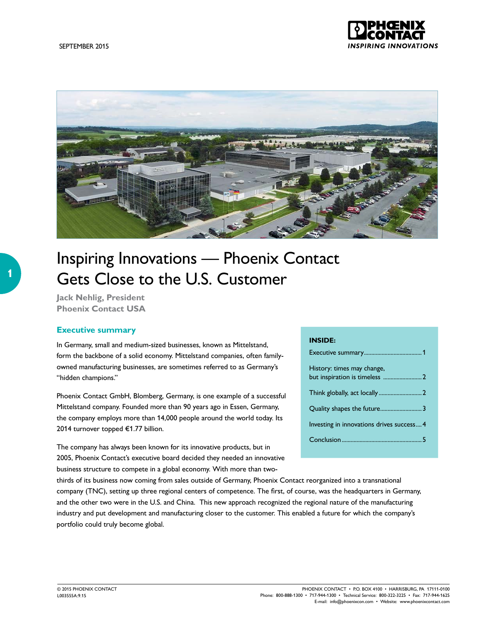

# Inspiring Innovations — Phoenix Contact Gets Close to the U.S. Customer

**Jack Nehlig, President Phoenix Contact USA**

## **Executive summary**

In Germany, small and medium-sized businesses, known as Mittelstand, form the backbone of a solid economy. Mittelstand companies, often familyowned manufacturing businesses, are sometimes referred to as Germany's "hidden champions."

Phoenix Contact GmbH, Blomberg, Germany, is one example of a successful Mittelstand company. Founded more than 90 years ago in Essen, Germany, the company employs more than 14,000 people around the world today. Its 2014 turnover topped €1.77 billion.

The company has always been known for its innovative products, but in 2005, Phoenix Contact's executive board decided they needed an innovative business structure to compete in a global economy. With more than two-

#### **INSIDE:**

| History: times may change,                |
|-------------------------------------------|
|                                           |
|                                           |
| Investing in innovations drives success 4 |
|                                           |

thirds of its business now coming from sales outside of Germany, Phoenix Contact reorganized into a transnational company (TNC), setting up three regional centers of competence. The first, of course, was the headquarters in Germany, and the other two were in the U.S. and China. This new approach recognized the regional nature of the manufacturing industry and put development and manufacturing closer to the customer. This enabled a future for which the company's portfolio could truly become global.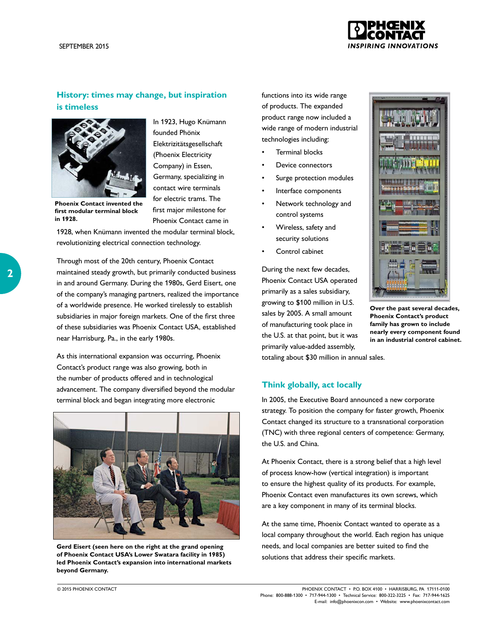

# **History: times may change, but inspiration is timeless**



**Phoenix Contact invented the first modular terminal block in 1928.**

In 1923, Hugo Knümann founded Phönix Elektrizitätsgesellschaft (Phoenix Electricity Company) in Essen, Germany, specializing in contact wire terminals for electric trams. The first major milestone for Phoenix Contact came in

1928, when Knümann invented the modular terminal block, revolutionizing electrical connection technology.

Through most of the 20th century, Phoenix Contact maintained steady growth, but primarily conducted business in and around Germany. During the 1980s, Gerd Eisert, one of the company's managing partners, realized the importance of a worldwide presence. He worked tirelessly to establish subsidiaries in major foreign markets. One of the first three of these subsidiaries was Phoenix Contact USA, established near Harrisburg, Pa., in the early 1980s.

As this international expansion was occurring, Phoenix Contact's product range was also growing, both in the number of products offered and in technological advancement. The company diversified beyond the modular terminal block and began integrating more electronic



**Gerd Eisert (seen here on the right at the grand opening of Phoenix Contact USA's Lower Swatara facility in 1985) led Phoenix Contact's expansion into international markets beyond Germany.**

functions into its wide range of products. The expanded product range now included a wide range of modern industrial technologies including:

- Terminal blocks
- Device connectors
- Surge protection modules
- Interface components
- Network technology and control systems
- Wireless, safety and security solutions
- Control cabinet

During the next few decades, Phoenix Contact USA operated primarily as a sales subsidiary, growing to \$100 million in U.S. sales by 2005. A small amount of manufacturing took place in the U.S. at that point, but it was primarily value-added assembly, totaling about \$30 million in annual sales.



**Over the past several decades, Phoenix Contact's product family has grown to include nearly every component found in an industrial control cabinet.** 

### **Think globally, act locally**

In 2005, the Executive Board announced a new corporate strategy. To position the company for faster growth, Phoenix Contact changed its structure to a transnational corporation (TNC) with three regional centers of competence: Germany, the U.S. and China.

At Phoenix Contact, there is a strong belief that a high level of process know-how (vertical integration) is important to ensure the highest quality of its products. For example, Phoenix Contact even manufactures its own screws, which are a key component in many of its terminal blocks.

At the same time, Phoenix Contact wanted to operate as a local company throughout the world. Each region has unique needs, and local companies are better suited to find the solutions that address their specific markets.

© 2015 PHOENIX CONTACT PHOENIX CONTACT • P.O. BOX 4100 • HARRISBURG, PA 17111-0100 Phone: 800-888-1300 • 717-944-1300 • Technical Service: 800-322-3225 • Fax: 717-944-1625 E-mail: info@phoenixcon.com • Website: www.phoenixcontact.com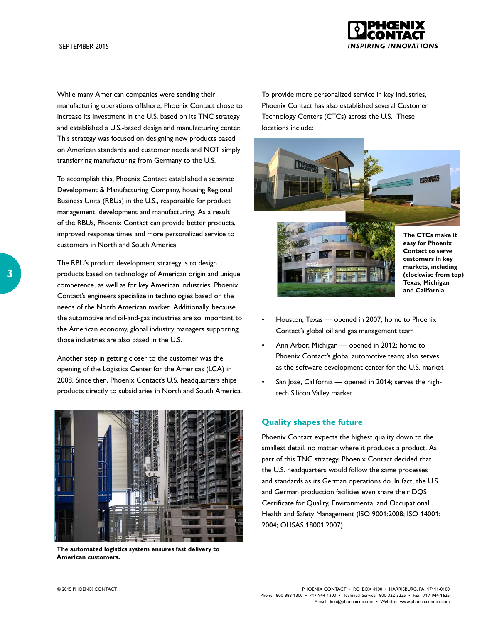

While many American companies were sending their manufacturing operations offshore, Phoenix Contact chose to increase its investment in the U.S. based on its TNC strategy and established a U.S.-based design and manufacturing center. This strategy was focused on designing new products based on American standards and customer needs and NOT simply transferring manufacturing from Germany to the U.S.

To accomplish this, Phoenix Contact established a separate Development & Manufacturing Company, housing Regional Business Units (RBUs) in the U.S., responsible for product management, development and manufacturing. As a result of the RBUs, Phoenix Contact can provide better products, improved response times and more personalized service to customers in North and South America.

The RBU's product development strategy is to design products based on technology of American origin and unique competence, as well as for key American industries. Phoenix Contact's engineers specialize in technologies based on the needs of the North American market. Additionally, because the automotive and oil-and-gas industries are so important to the American economy, global industry managers supporting those industries are also based in the U.S.

Another step in getting closer to the customer was the opening of the Logistics Center for the Americas (LCA) in 2008. Since then, Phoenix Contact's U.S. headquarters ships products directly to subsidiaries in North and South America.



**The automated logistics system ensures fast delivery to American customers.** 

To provide more personalized service in key industries, Phoenix Contact has also established several Customer Technology Centers (CTCs) across the U.S. These locations include:





**The CTCs make it easy for Phoenix Contact to serve customers in key markets, including (clockwise from top) Texas, Michigan and California.**

- Houston, Texas opened in 2007; home to Phoenix Contact's global oil and gas management team
- Ann Arbor, Michigan opened in 2012; home to Phoenix Contact's global automotive team; also serves as the software development center for the U.S. market
- San Jose, California opened in 2014; serves the hightech Silicon Valley market

### **Quality shapes the future**

Phoenix Contact expects the highest quality down to the smallest detail, no matter where it produces a product. As part of this TNC strategy, Phoenix Contact decided that the U.S. headquarters would follow the same processes and standards as its German operations do. In fact, the U.S. and German production facilities even share their DQS Certificate for Quality, Environmental and Occupational Health and Safety Management (ISO 9001:2008; ISO 14001: 2004; OHSAS 18001:2007).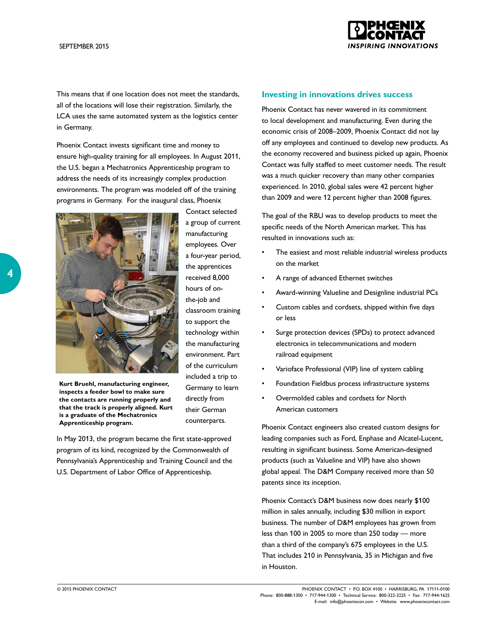

This means that if one location does not meet the standards, all of the locations will lose their registration. Similarly, the LCA uses the same automated system as the logistics center in Germany.

Phoenix Contact invests significant time and money to ensure high-quality training for all employees. In August 2011, the U.S. began a Mechatronics Apprenticeship program to address the needs of its increasingly complex production environments. The program was modeled off of the training programs in Germany. For the inaugural class, Phoenix



Contact selected a group of current manufacturing employees. Over a four-year period, the apprentices received 8,000 hours of onthe-job and classroom training to support the technology within the manufacturing environment. Part of the curriculum included a trip to Germany to learn directly from their German counterparts.

**Kurt Bruehl, manufacturing engineer, inspects a feeder bowl to make sure the contacts are running properly and that the track is properly aligned. Kurt is a graduate of the Mechatronics Apprenticeship program.**

In May 2013, the program became the first state-approved program of its kind, recognized by the Commonwealth of Pennsylvania's Apprenticeship and Training Council and the U.S. Department of Labor Office of Apprenticeship.

#### **Investing in innovations drives success**

Phoenix Contact has never wavered in its commitment to local development and manufacturing. Even during the economic crisis of 2008–2009, Phoenix Contact did not lay off any employees and continued to develop new products. As the economy recovered and business picked up again, Phoenix Contact was fully staffed to meet customer needs. The result was a much quicker recovery than many other companies experienced. In 2010, global sales were 42 percent higher than 2009 and were 12 percent higher than 2008 figures.

The goal of the RBU was to develop products to meet the specific needs of the North American market. This has resulted in innovations such as:

- The easiest and most reliable industrial wireless products on the market
- A range of advanced Ethernet switches
- Award-winning Valueline and Designline industrial PCs
- Custom cables and cordsets, shipped within five days or less
- Surge protection devices (SPDs) to protect advanced electronics in telecommunications and modern railroad equipment
- Varioface Professional (VIP) line of system cabling
- Foundation Fieldbus process infrastructure systems
- Overmolded cables and cordsets for North American customers

Phoenix Contact engineers also created custom designs for leading companies such as Ford, Enphase and Alcatel-Lucent, resulting in significant business. Some American-designed products (such as Valueline and VIP) have also shown global appeal. The D&M Company received more than 50 patents since its inception.

Phoenix Contact's D&M business now does nearly \$100 million in sales annually, including \$30 million in export business. The number of D&M employees has grown from less than 100 in 2005 to more than 250 today — more than a third of the company's 675 employees in the U.S. That includes 210 in Pennsylvania, 35 in Michigan and five in Houston.